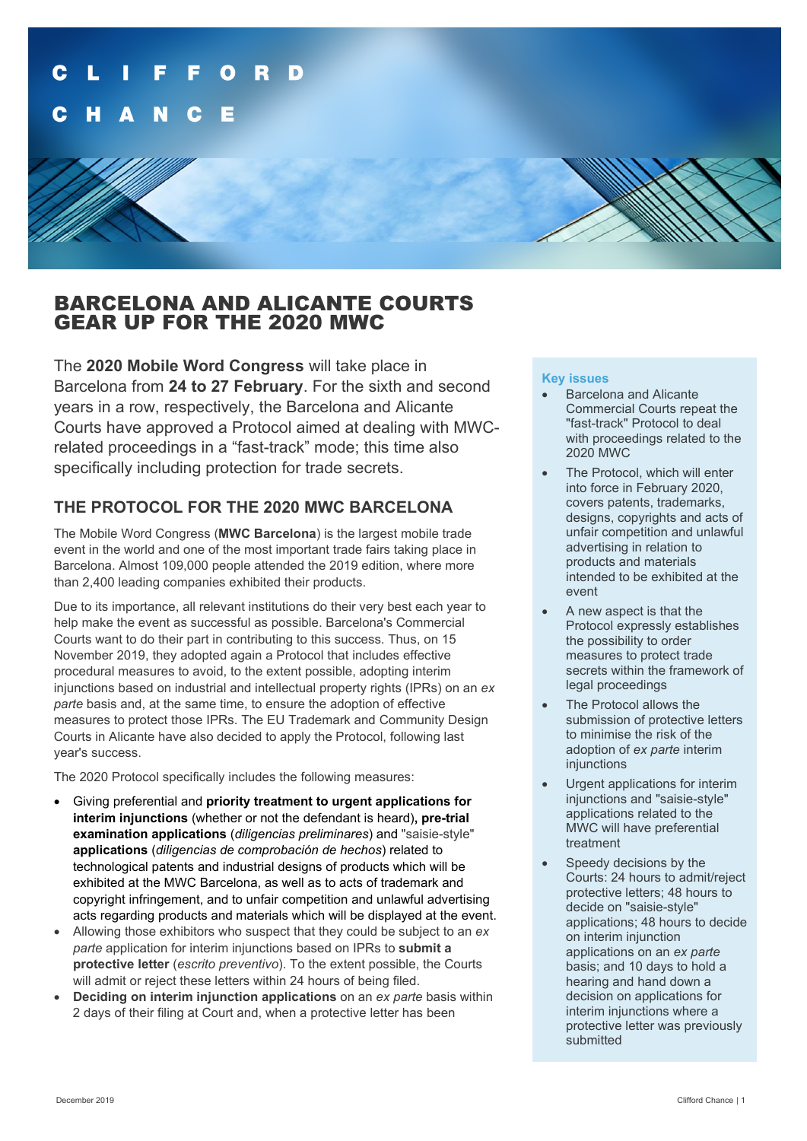## BARCELONA AND ALICANTE COURTS GEAR UP FOR THE 2020 MWC

The **2020 Mobile Word Congress** will take place in Barcelona from **24 to 27 February**. For the sixth and second years in a row, respectively, the Barcelona and Alicante Courts have approved a Protocol aimed at dealing with MWCrelated proceedings in a "fast-track" mode; this time also specifically including protection for trade secrets.

### **THE PROTOCOL FOR THE 2020 MWC BARCELONA**

The Mobile Word Congress (**MWC Barcelona**) is the largest mobile trade event in the world and one of the most important trade fairs taking place in Barcelona. Almost 109,000 people attended the 2019 edition, where more than 2,400 leading companies exhibited their products.

Due to its importance, all relevant institutions do their very best each year to help make the event as successful as possible. Barcelona's Commercial Courts want to do their part in contributing to this success. Thus, on 15 November 2019, they adopted again a Protocol that includes effective procedural measures to avoid, to the extent possible, adopting interim injunctions based on industrial and intellectual property rights (IPRs) on an *ex parte* basis and, at the same time, to ensure the adoption of effective measures to protect those IPRs. The EU Trademark and Community Design Courts in Alicante have also decided to apply the Protocol, following last year's success.

The 2020 Protocol specifically includes the following measures:

- Giving preferential and **priority treatment to urgent applications for interim injunctions** (whether or not the defendant is heard)**, pre-trial examination applications** (*diligencias preliminares*) and "saisie-style" **applications** (*diligencias de comprobación de hechos*) related to technological patents and industrial designs of products which will be exhibited at the MWC Barcelona, as well as to acts of trademark and copyright infringement, and to unfair competition and unlawful advertising acts regarding products and materials which will be displayed at the event.
- Allowing those exhibitors who suspect that they could be subject to an *ex parte* application for interim injunctions based on IPRs to **submit a protective letter** (*escrito preventivo*). To the extent possible, the Courts will admit or reject these letters within 24 hours of being filed.
- **Deciding on interim injunction applications** on an *ex parte* basis within 2 days of their filing at Court and, when a protective letter has been

### **Key issues**

- **Barcelona and Alicante** Commercial Courts repeat the "fast-track" Protocol to deal with proceedings related to the 2020 MWC
- The Protocol, which will enter into force in February 2020, covers patents, trademarks, designs, copyrights and acts of unfair competition and unlawful advertising in relation to products and materials intended to be exhibited at the event
- A new aspect is that the Protocol expressly establishes the possibility to order measures to protect trade secrets within the framework of legal proceedings
- The Protocol allows the submission of protective letters to minimise the risk of the adoption of *ex parte* interim injunctions
- Urgent applications for interim injunctions and "saisie-style" applications related to the MWC will have preferential treatment
- Speedy decisions by the Courts: 24 hours to admit/reject protective letters; 48 hours to decide on "saisie-style" applications; 48 hours to decide on interim injunction applications on an *ex parte* basis; and 10 days to hold a hearing and hand down a decision on applications for interim injunctions where a protective letter was previously submitted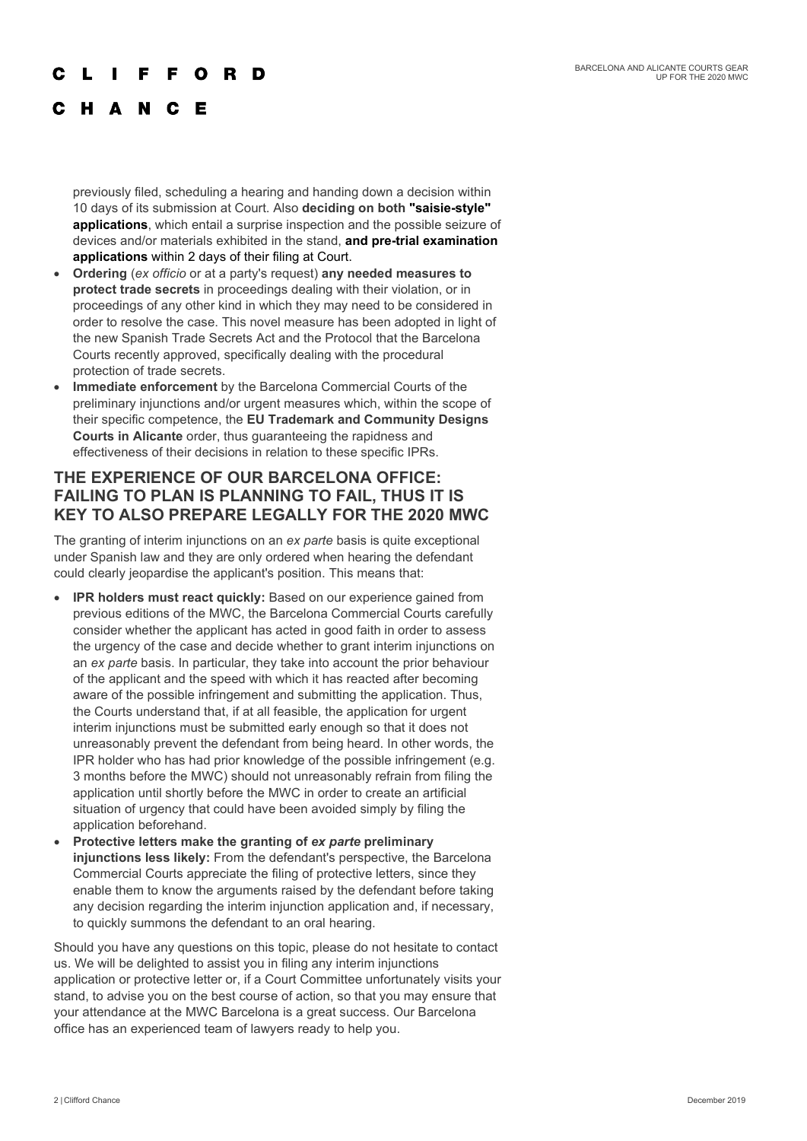### O R

### C H A N C E

previously filed, scheduling a hearing and handing down a decision within 10 days of its submission at Court. Also **deciding on both "saisie-style" applications**, which entail a surprise inspection and the possible seizure of devices and/or materials exhibited in the stand, **and pre-trial examination applications** within 2 days of their filing at Court.

- **Ordering** (*ex officio* or at a party's request) **any needed measures to protect trade secrets** in proceedings dealing with their violation, or in proceedings of any other kind in which they may need to be considered in order to resolve the case. This novel measure has been adopted in light of the new Spanish Trade Secrets Act and the Protocol that the Barcelona Courts recently approved, specifically dealing with the procedural protection of trade secrets.
- **Immediate enforcement** by the Barcelona Commercial Courts of the preliminary injunctions and/or urgent measures which, within the scope of their specific competence, the **EU Trademark and Community Designs Courts in Alicante** order, thus guaranteeing the rapidness and effectiveness of their decisions in relation to these specific IPRs.

### **THE EXPERIENCE OF OUR BARCELONA OFFICE: FAILING TO PLAN IS PLANNING TO FAIL, THUS IT IS KEY TO ALSO PREPARE LEGALLY FOR THE 2020 MWC**

The granting of interim injunctions on an *ex parte* basis is quite exceptional under Spanish law and they are only ordered when hearing the defendant could clearly jeopardise the applicant's position. This means that:

- **IPR holders must react quickly:** Based on our experience gained from previous editions of the MWC, the Barcelona Commercial Courts carefully consider whether the applicant has acted in good faith in order to assess the urgency of the case and decide whether to grant interim injunctions on an *ex parte* basis. In particular, they take into account the prior behaviour of the applicant and the speed with which it has reacted after becoming aware of the possible infringement and submitting the application. Thus, the Courts understand that, if at all feasible, the application for urgent interim injunctions must be submitted early enough so that it does not unreasonably prevent the defendant from being heard. In other words, the IPR holder who has had prior knowledge of the possible infringement (e.g. 3 months before the MWC) should not unreasonably refrain from filing the application until shortly before the MWC in order to create an artificial situation of urgency that could have been avoided simply by filing the application beforehand.
- **Protective letters make the granting of** *ex parte* **preliminary injunctions less likely:** From the defendant's perspective, the Barcelona Commercial Courts appreciate the filing of protective letters, since they enable them to know the arguments raised by the defendant before taking any decision regarding the interim injunction application and, if necessary, to quickly summons the defendant to an oral hearing.

Should you have any questions on this topic, please do not hesitate to contact us. We will be delighted to assist you in filing any interim injunctions application or protective letter or, if a Court Committee unfortunately visits your stand, to advise you on the best course of action, so that you may ensure that your attendance at the MWC Barcelona is a great success. Our Barcelona office has an experienced team of lawyers ready to help you.